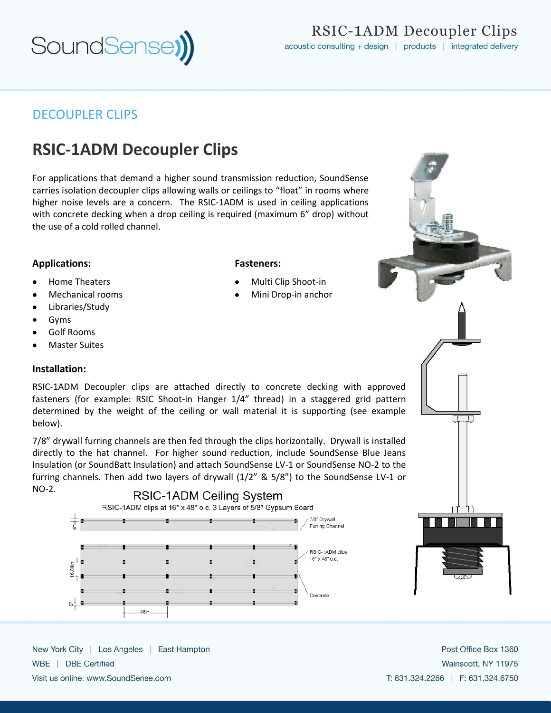

RSIC-1ADM Decoupler Clips acoustic consulting + design | products | integrated delivery

# DECOUPLER CLIPS

# **RSIC-1ADM Decoupler Clips**

For applications that demand a higher sound transmission reduction, SoundSense carries isolation decoupler clips allowing walls or ceilings to "float" in rooms where higher noise levels are a concern. The RSIC-1ADM is used in ceiling applications with concrete decking when a drop ceiling is required (maximum 6" drop) without the use of a cold rolled channel.

## **Applications:**

- Home Theaters
- Mechanical rooms
- Libraries/Study
- Gyms
- Golf Rooms
- Master Suites

## **Installation:**

RSIC-1ADM Decoupler clips are attached directly to concrete decking with approved fasteners (for example: RSIC Shoot-in Hanger 1/4" thread) in a staggered grid pattern determined by the weight of the ceiling or wall material it is supporting (see example below).

7/8" drywall furring channels are then fed through the clips horizontally. Drywall is installed directly to the hat channel. For higher sound reduction, include SoundSense Blue Jeans Insulation (or SoundBatt Insulation) and attach SoundSense LV-1 or SoundSense NO-2 to the furring channels. Then add two layers of drywall (1/2" & 5/8") to the SoundSense LV-1 or NO-2.





New York City | Los Angeles | East Hampton WBE | DBE Certified

Visit us online: www.SoundSense.com

## Post Office Box 1360 Wainscott, NY 11975 T: 631.324.2266 | F: 631.324.6750

#### **Fasteners:**

- Multi Clip Shoot-in
- Mini Drop-in anchor